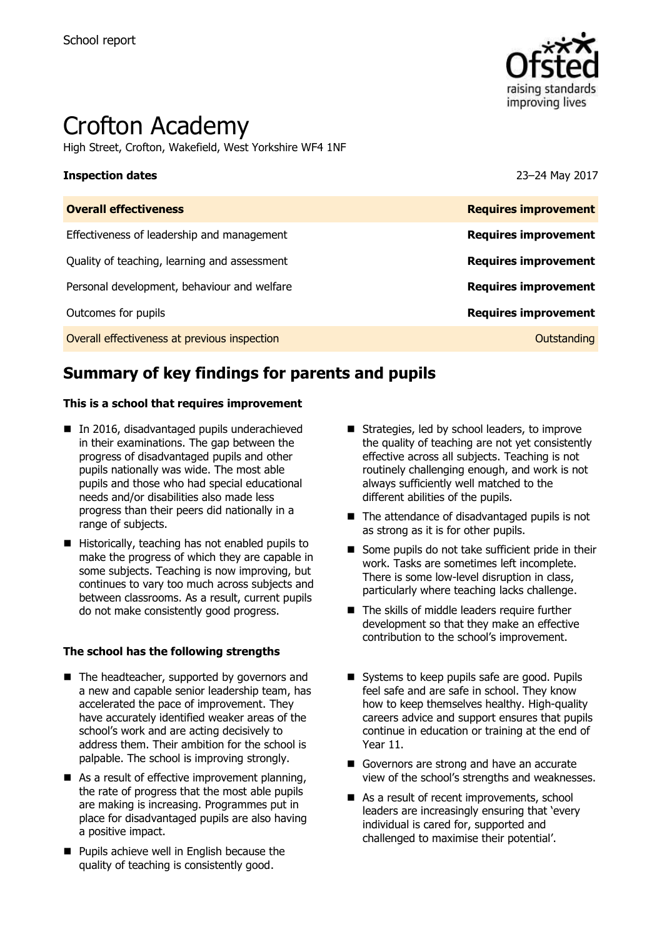

# Crofton Academy

High Street, Crofton, Wakefield, West Yorkshire WF4 1NF

### **Inspection dates** 23–24 May 2017

| <b>Overall effectiveness</b>                 | <b>Requires improvement</b> |
|----------------------------------------------|-----------------------------|
| Effectiveness of leadership and management   | <b>Requires improvement</b> |
| Quality of teaching, learning and assessment | <b>Requires improvement</b> |
| Personal development, behaviour and welfare  | <b>Requires improvement</b> |
| Outcomes for pupils                          | <b>Requires improvement</b> |
| Overall effectiveness at previous inspection | Outstanding                 |

# **Summary of key findings for parents and pupils**

### **This is a school that requires improvement**

- In 2016, disadvantaged pupils underachieved in their examinations. The gap between the progress of disadvantaged pupils and other pupils nationally was wide. The most able pupils and those who had special educational needs and/or disabilities also made less progress than their peers did nationally in a range of subjects.
- Historically, teaching has not enabled pupils to make the progress of which they are capable in some subjects. Teaching is now improving, but continues to vary too much across subjects and between classrooms. As a result, current pupils do not make consistently good progress.

### **The school has the following strengths**

- The headteacher, supported by governors and a new and capable senior leadership team, has accelerated the pace of improvement. They have accurately identified weaker areas of the school's work and are acting decisively to address them. Their ambition for the school is palpable. The school is improving strongly.
- $\blacksquare$  As a result of effective improvement planning, the rate of progress that the most able pupils are making is increasing. Programmes put in place for disadvantaged pupils are also having a positive impact.
- **Pupils achieve well in English because the** quality of teaching is consistently good.
- Strategies, led by school leaders, to improve the quality of teaching are not yet consistently effective across all subjects. Teaching is not routinely challenging enough, and work is not always sufficiently well matched to the different abilities of the pupils.
- The attendance of disadvantaged pupils is not as strong as it is for other pupils.
- Some pupils do not take sufficient pride in their work. Tasks are sometimes left incomplete. There is some low-level disruption in class, particularly where teaching lacks challenge.
- The skills of middle leaders require further development so that they make an effective contribution to the school's improvement.
- Systems to keep pupils safe are good. Pupils feel safe and are safe in school. They know how to keep themselves healthy. High-quality careers advice and support ensures that pupils continue in education or training at the end of Year 11.
- Governors are strong and have an accurate view of the school's strengths and weaknesses.
- As a result of recent improvements, school leaders are increasingly ensuring that 'every individual is cared for, supported and challenged to maximise their potential'.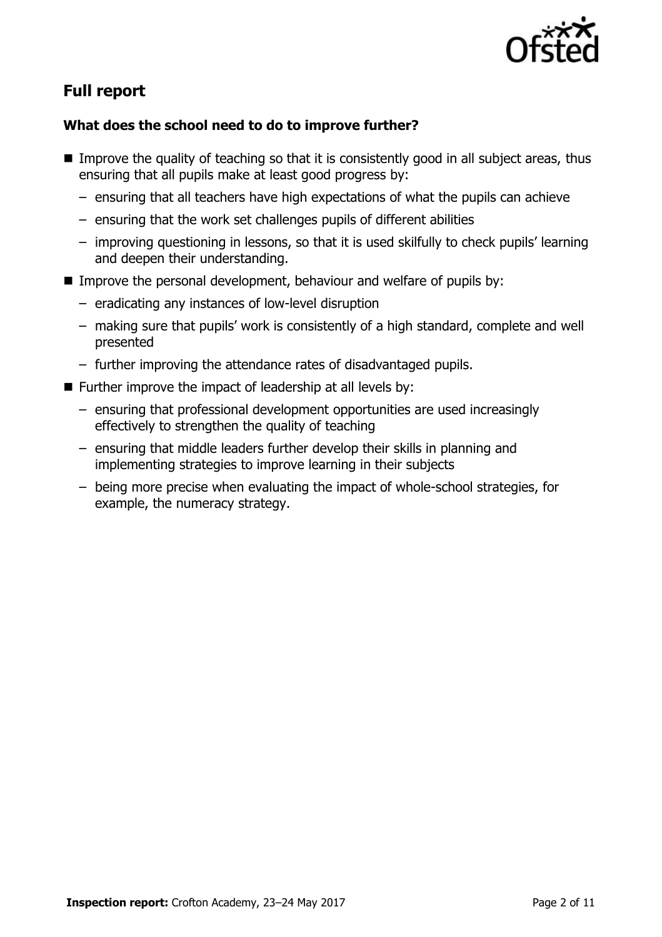

# **Full report**

### **What does the school need to do to improve further?**

- Improve the quality of teaching so that it is consistently good in all subject areas, thus ensuring that all pupils make at least good progress by:
	- ensuring that all teachers have high expectations of what the pupils can achieve
	- ensuring that the work set challenges pupils of different abilities
	- improving questioning in lessons, so that it is used skilfully to check pupils' learning and deepen their understanding.
- **IMPROVE THE PERSONAL DEVELOPMENT, behaviour and welfare of pupils by:** 
	- eradicating any instances of low-level disruption
	- making sure that pupils' work is consistently of a high standard, complete and well presented
	- further improving the attendance rates of disadvantaged pupils.
- $\blacksquare$  Further improve the impact of leadership at all levels by:
	- ensuring that professional development opportunities are used increasingly effectively to strengthen the quality of teaching
	- ensuring that middle leaders further develop their skills in planning and implementing strategies to improve learning in their subjects
	- being more precise when evaluating the impact of whole-school strategies, for example, the numeracy strategy.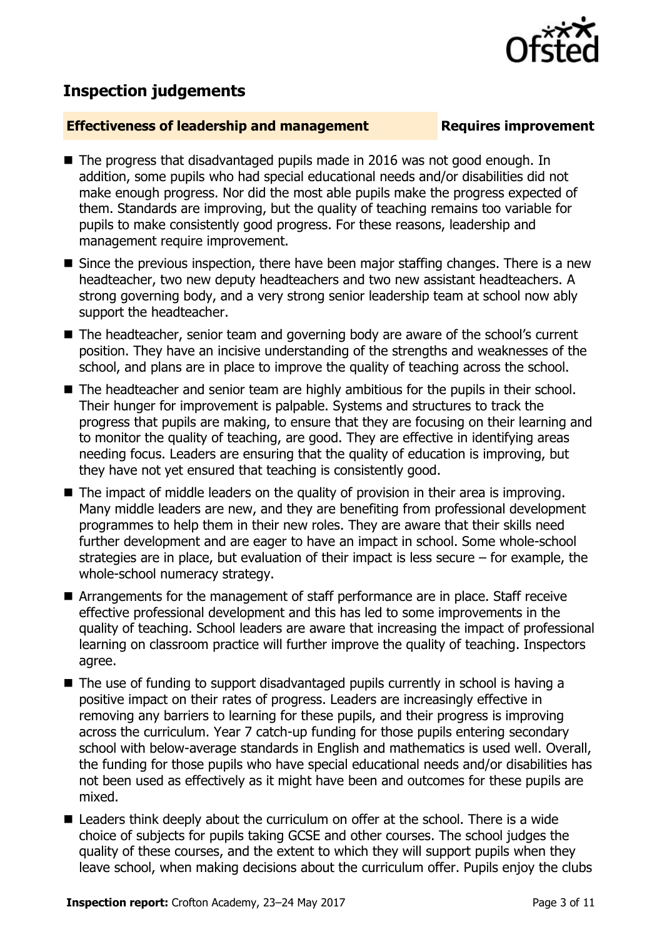## **Inspection judgements**

### **Effectiveness of leadership and management Requires improvement**

- The progress that disadvantaged pupils made in 2016 was not good enough. In addition, some pupils who had special educational needs and/or disabilities did not make enough progress. Nor did the most able pupils make the progress expected of them. Standards are improving, but the quality of teaching remains too variable for pupils to make consistently good progress. For these reasons, leadership and management require improvement.
- Since the previous inspection, there have been major staffing changes. There is a new headteacher, two new deputy headteachers and two new assistant headteachers. A strong governing body, and a very strong senior leadership team at school now ably support the headteacher.
- The headteacher, senior team and governing body are aware of the school's current position. They have an incisive understanding of the strengths and weaknesses of the school, and plans are in place to improve the quality of teaching across the school.
- The headteacher and senior team are highly ambitious for the pupils in their school. Their hunger for improvement is palpable. Systems and structures to track the progress that pupils are making, to ensure that they are focusing on their learning and to monitor the quality of teaching, are good. They are effective in identifying areas needing focus. Leaders are ensuring that the quality of education is improving, but they have not yet ensured that teaching is consistently good.
- The impact of middle leaders on the quality of provision in their area is improving. Many middle leaders are new, and they are benefiting from professional development programmes to help them in their new roles. They are aware that their skills need further development and are eager to have an impact in school. Some whole-school strategies are in place, but evaluation of their impact is less secure – for example, the whole-school numeracy strategy.
- Arrangements for the management of staff performance are in place. Staff receive effective professional development and this has led to some improvements in the quality of teaching. School leaders are aware that increasing the impact of professional learning on classroom practice will further improve the quality of teaching. Inspectors agree.
- The use of funding to support disadvantaged pupils currently in school is having a positive impact on their rates of progress. Leaders are increasingly effective in removing any barriers to learning for these pupils, and their progress is improving across the curriculum. Year 7 catch-up funding for those pupils entering secondary school with below-average standards in English and mathematics is used well. Overall, the funding for those pupils who have special educational needs and/or disabilities has not been used as effectively as it might have been and outcomes for these pupils are mixed.
- Leaders think deeply about the curriculum on offer at the school. There is a wide choice of subjects for pupils taking GCSE and other courses. The school judges the quality of these courses, and the extent to which they will support pupils when they leave school, when making decisions about the curriculum offer. Pupils enjoy the clubs

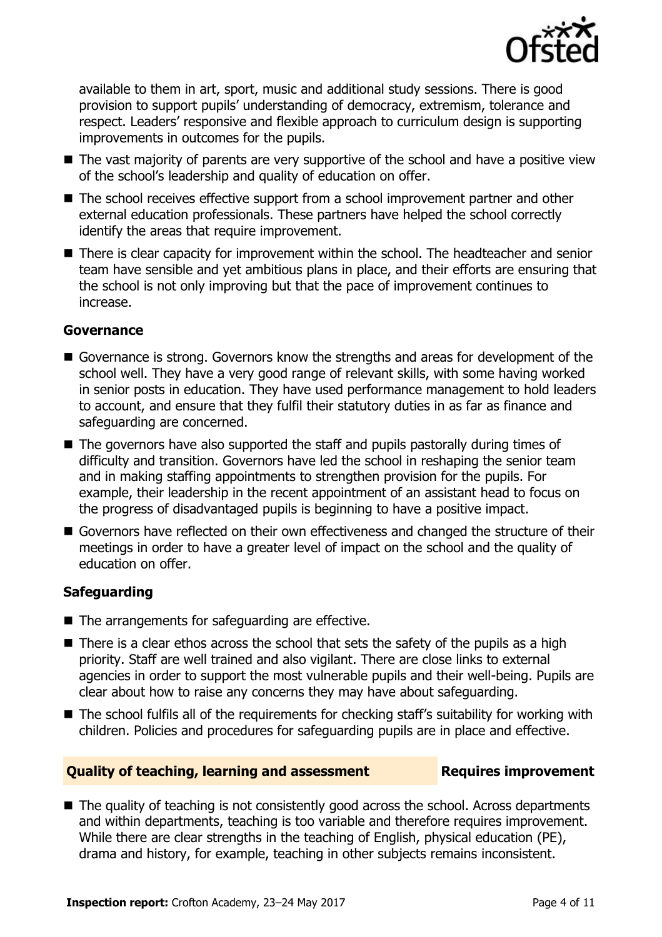

available to them in art, sport, music and additional study sessions. There is good provision to support pupils' understanding of democracy, extremism, tolerance and respect. Leaders' responsive and flexible approach to curriculum design is supporting improvements in outcomes for the pupils.

- The vast majority of parents are very supportive of the school and have a positive view of the school's leadership and quality of education on offer.
- The school receives effective support from a school improvement partner and other external education professionals. These partners have helped the school correctly identify the areas that require improvement.
- There is clear capacity for improvement within the school. The headteacher and senior team have sensible and yet ambitious plans in place, and their efforts are ensuring that the school is not only improving but that the pace of improvement continues to increase.

### **Governance**

- Governance is strong. Governors know the strengths and areas for development of the school well. They have a very good range of relevant skills, with some having worked in senior posts in education. They have used performance management to hold leaders to account, and ensure that they fulfil their statutory duties in as far as finance and safeguarding are concerned.
- The governors have also supported the staff and pupils pastorally during times of difficulty and transition. Governors have led the school in reshaping the senior team and in making staffing appointments to strengthen provision for the pupils. For example, their leadership in the recent appointment of an assistant head to focus on the progress of disadvantaged pupils is beginning to have a positive impact.
- Governors have reflected on their own effectiveness and changed the structure of their meetings in order to have a greater level of impact on the school and the quality of education on offer.

### **Safeguarding**

- The arrangements for safeguarding are effective.
- $\blacksquare$  There is a clear ethos across the school that sets the safety of the pupils as a high priority. Staff are well trained and also vigilant. There are close links to external agencies in order to support the most vulnerable pupils and their well-being. Pupils are clear about how to raise any concerns they may have about safeguarding.
- The school fulfils all of the requirements for checking staff's suitability for working with children. Policies and procedures for safeguarding pupils are in place and effective.

### **Quality of teaching, learning and assessment Requires improvement**

■ The quality of teaching is not consistently good across the school. Across departments and within departments, teaching is too variable and therefore requires improvement. While there are clear strengths in the teaching of English, physical education (PE), drama and history, for example, teaching in other subjects remains inconsistent.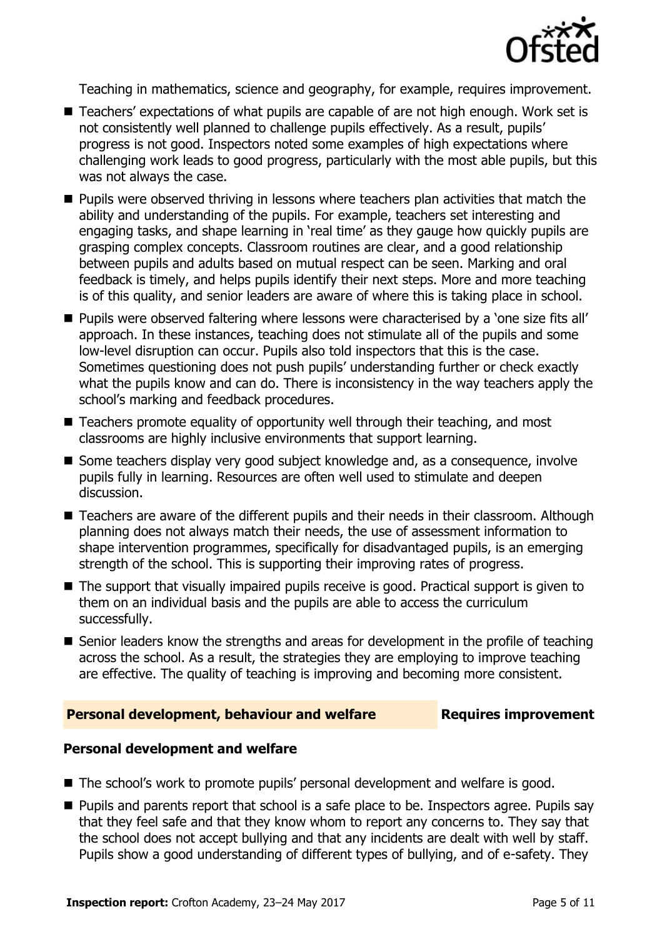

Teaching in mathematics, science and geography, for example, requires improvement.

- Teachers' expectations of what pupils are capable of are not high enough. Work set is not consistently well planned to challenge pupils effectively. As a result, pupils' progress is not good. Inspectors noted some examples of high expectations where challenging work leads to good progress, particularly with the most able pupils, but this was not always the case.
- **Pupils were observed thriving in lessons where teachers plan activities that match the** ability and understanding of the pupils. For example, teachers set interesting and engaging tasks, and shape learning in 'real time' as they gauge how quickly pupils are grasping complex concepts. Classroom routines are clear, and a good relationship between pupils and adults based on mutual respect can be seen. Marking and oral feedback is timely, and helps pupils identify their next steps. More and more teaching is of this quality, and senior leaders are aware of where this is taking place in school.
- **Pupils were observed faltering where lessons were characterised by a 'one size fits all'** approach. In these instances, teaching does not stimulate all of the pupils and some low-level disruption can occur. Pupils also told inspectors that this is the case. Sometimes questioning does not push pupils' understanding further or check exactly what the pupils know and can do. There is inconsistency in the way teachers apply the school's marking and feedback procedures.
- Teachers promote equality of opportunity well through their teaching, and most classrooms are highly inclusive environments that support learning.
- Some teachers display very good subject knowledge and, as a consequence, involve pupils fully in learning. Resources are often well used to stimulate and deepen discussion.
- Teachers are aware of the different pupils and their needs in their classroom. Although planning does not always match their needs, the use of assessment information to shape intervention programmes, specifically for disadvantaged pupils, is an emerging strength of the school. This is supporting their improving rates of progress.
- The support that visually impaired pupils receive is good. Practical support is given to them on an individual basis and the pupils are able to access the curriculum successfully.
- Senior leaders know the strengths and areas for development in the profile of teaching across the school. As a result, the strategies they are employing to improve teaching are effective. The quality of teaching is improving and becoming more consistent.

### **Personal development, behaviour and welfare Fig. 2.1 Requires improvement**

### **Personal development and welfare**

- The school's work to promote pupils' personal development and welfare is good.
- **Pupils and parents report that school is a safe place to be. Inspectors agree. Pupils say** that they feel safe and that they know whom to report any concerns to. They say that the school does not accept bullying and that any incidents are dealt with well by staff. Pupils show a good understanding of different types of bullying, and of e-safety. They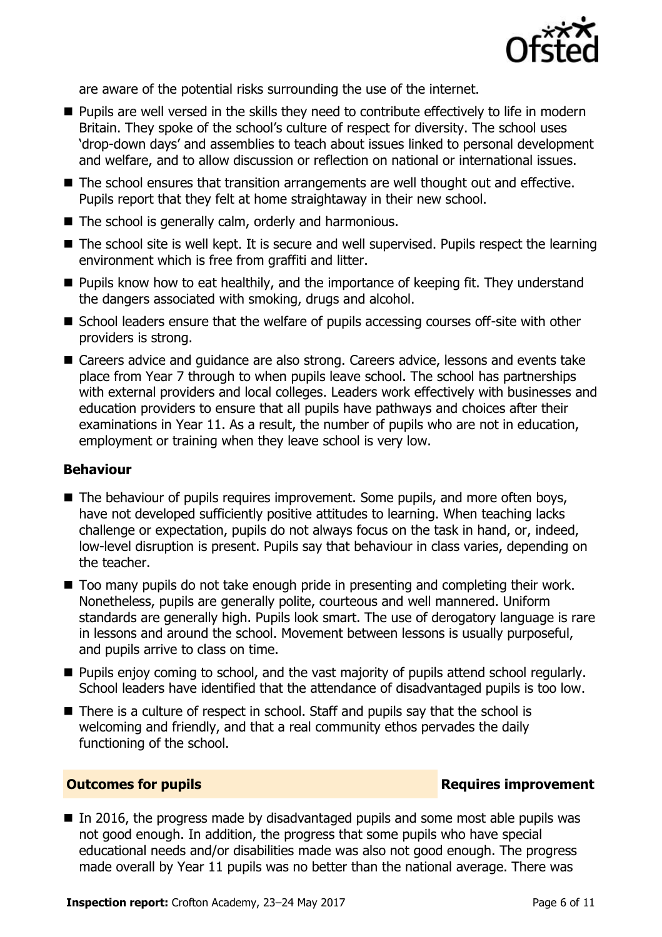

are aware of the potential risks surrounding the use of the internet.

- **Pupils are well versed in the skills they need to contribute effectively to life in modern** Britain. They spoke of the school's culture of respect for diversity. The school uses 'drop-down days' and assemblies to teach about issues linked to personal development and welfare, and to allow discussion or reflection on national or international issues.
- The school ensures that transition arrangements are well thought out and effective. Pupils report that they felt at home straightaway in their new school.
- The school is generally calm, orderly and harmonious.
- The school site is well kept. It is secure and well supervised. Pupils respect the learning environment which is free from graffiti and litter.
- **Pupils know how to eat healthily, and the importance of keeping fit. They understand** the dangers associated with smoking, drugs and alcohol.
- School leaders ensure that the welfare of pupils accessing courses off-site with other providers is strong.
- Careers advice and quidance are also strong. Careers advice, lessons and events take place from Year 7 through to when pupils leave school. The school has partnerships with external providers and local colleges. Leaders work effectively with businesses and education providers to ensure that all pupils have pathways and choices after their examinations in Year 11. As a result, the number of pupils who are not in education, employment or training when they leave school is very low.

### **Behaviour**

- The behaviour of pupils requires improvement. Some pupils, and more often boys, have not developed sufficiently positive attitudes to learning. When teaching lacks challenge or expectation, pupils do not always focus on the task in hand, or, indeed, low-level disruption is present. Pupils say that behaviour in class varies, depending on the teacher.
- Too many pupils do not take enough pride in presenting and completing their work. Nonetheless, pupils are generally polite, courteous and well mannered. Uniform standards are generally high. Pupils look smart. The use of derogatory language is rare in lessons and around the school. Movement between lessons is usually purposeful, and pupils arrive to class on time.
- **Pupils enjoy coming to school, and the vast majority of pupils attend school regularly.** School leaders have identified that the attendance of disadvantaged pupils is too low.
- There is a culture of respect in school. Staff and pupils say that the school is welcoming and friendly, and that a real community ethos pervades the daily functioning of the school.

### **Outcomes for pupils Requires improvement**

 $\blacksquare$  In 2016, the progress made by disadvantaged pupils and some most able pupils was not good enough. In addition, the progress that some pupils who have special educational needs and/or disabilities made was also not good enough. The progress made overall by Year 11 pupils was no better than the national average. There was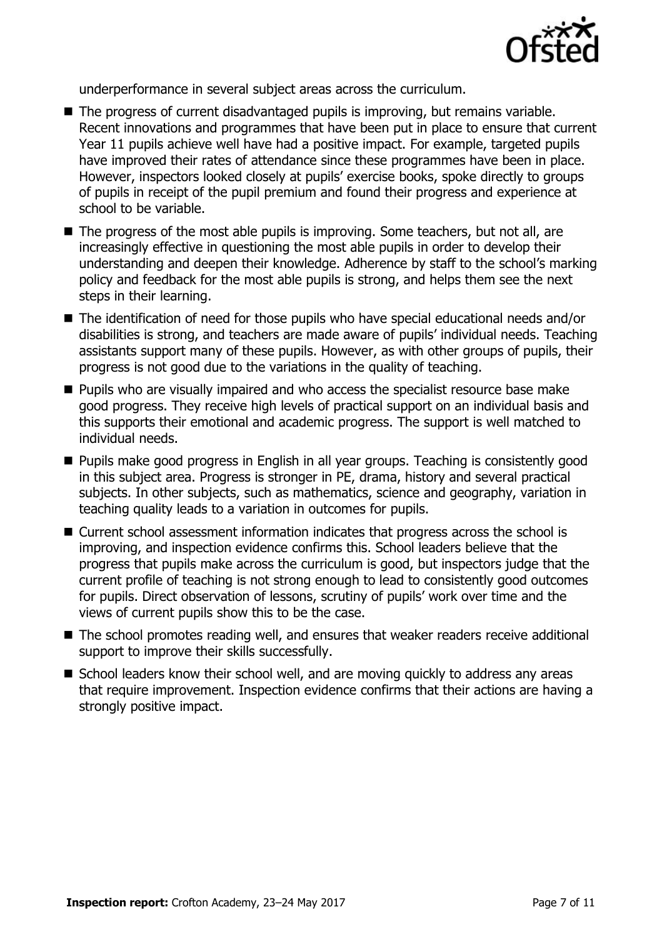

underperformance in several subject areas across the curriculum.

- The progress of current disadvantaged pupils is improving, but remains variable. Recent innovations and programmes that have been put in place to ensure that current Year 11 pupils achieve well have had a positive impact. For example, targeted pupils have improved their rates of attendance since these programmes have been in place. However, inspectors looked closely at pupils' exercise books, spoke directly to groups of pupils in receipt of the pupil premium and found their progress and experience at school to be variable.
- $\blacksquare$  The progress of the most able pupils is improving. Some teachers, but not all, are increasingly effective in questioning the most able pupils in order to develop their understanding and deepen their knowledge. Adherence by staff to the school's marking policy and feedback for the most able pupils is strong, and helps them see the next steps in their learning.
- The identification of need for those pupils who have special educational needs and/or disabilities is strong, and teachers are made aware of pupils' individual needs. Teaching assistants support many of these pupils. However, as with other groups of pupils, their progress is not good due to the variations in the quality of teaching.
- **Pupils who are visually impaired and who access the specialist resource base make** good progress. They receive high levels of practical support on an individual basis and this supports their emotional and academic progress. The support is well matched to individual needs.
- **Pupils make good progress in English in all year groups. Teaching is consistently good** in this subject area. Progress is stronger in PE, drama, history and several practical subjects. In other subjects, such as mathematics, science and geography, variation in teaching quality leads to a variation in outcomes for pupils.
- Current school assessment information indicates that progress across the school is improving, and inspection evidence confirms this. School leaders believe that the progress that pupils make across the curriculum is good, but inspectors judge that the current profile of teaching is not strong enough to lead to consistently good outcomes for pupils. Direct observation of lessons, scrutiny of pupils' work over time and the views of current pupils show this to be the case.
- The school promotes reading well, and ensures that weaker readers receive additional support to improve their skills successfully.
- School leaders know their school well, and are moving quickly to address any areas that require improvement. Inspection evidence confirms that their actions are having a strongly positive impact.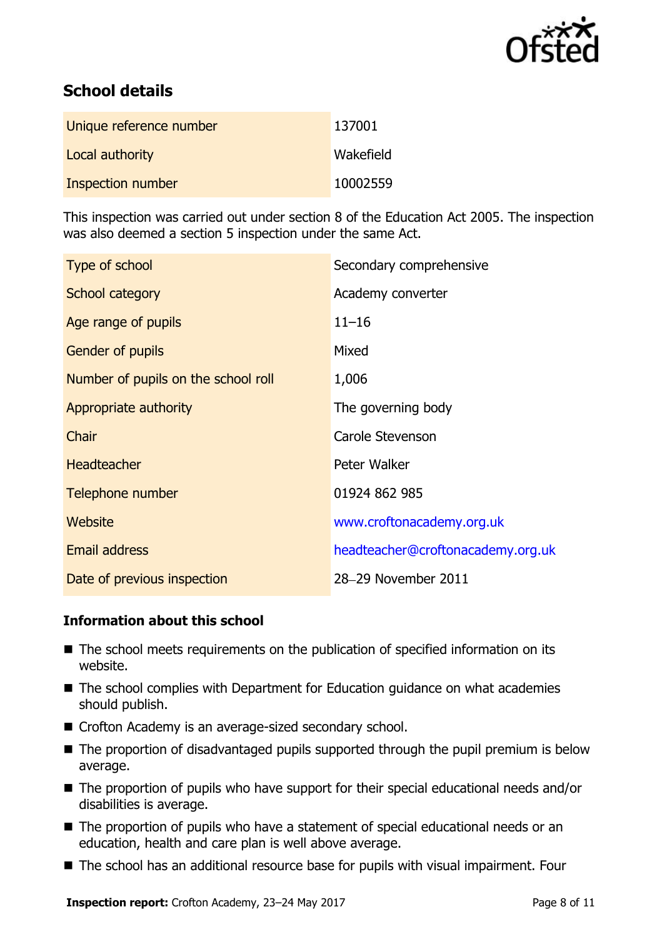

# **School details**

| Unique reference number | 137001    |
|-------------------------|-----------|
| Local authority         | Wakefield |
| Inspection number       | 10002559  |

This inspection was carried out under section 8 of the Education Act 2005. The inspection was also deemed a section 5 inspection under the same Act.

| Type of school                      | Secondary comprehensive           |
|-------------------------------------|-----------------------------------|
| School category                     | Academy converter                 |
| Age range of pupils                 | $11 - 16$                         |
| <b>Gender of pupils</b>             | Mixed                             |
| Number of pupils on the school roll | 1,006                             |
| Appropriate authority               | The governing body                |
| Chair                               | Carole Stevenson                  |
| <b>Headteacher</b>                  | Peter Walker                      |
| Telephone number                    | 01924 862 985                     |
| Website                             | www.croftonacademy.org.uk         |
| <b>Email address</b>                | headteacher@croftonacademy.org.uk |
| Date of previous inspection         | 28-29 November 2011               |

### **Information about this school**

- The school meets requirements on the publication of specified information on its website.
- The school complies with Department for Education guidance on what academies should publish.
- Crofton Academy is an average-sized secondary school.
- The proportion of disadvantaged pupils supported through the pupil premium is below average.
- The proportion of pupils who have support for their special educational needs and/or disabilities is average.
- The proportion of pupils who have a statement of special educational needs or an education, health and care plan is well above average.
- The school has an additional resource base for pupils with visual impairment. Four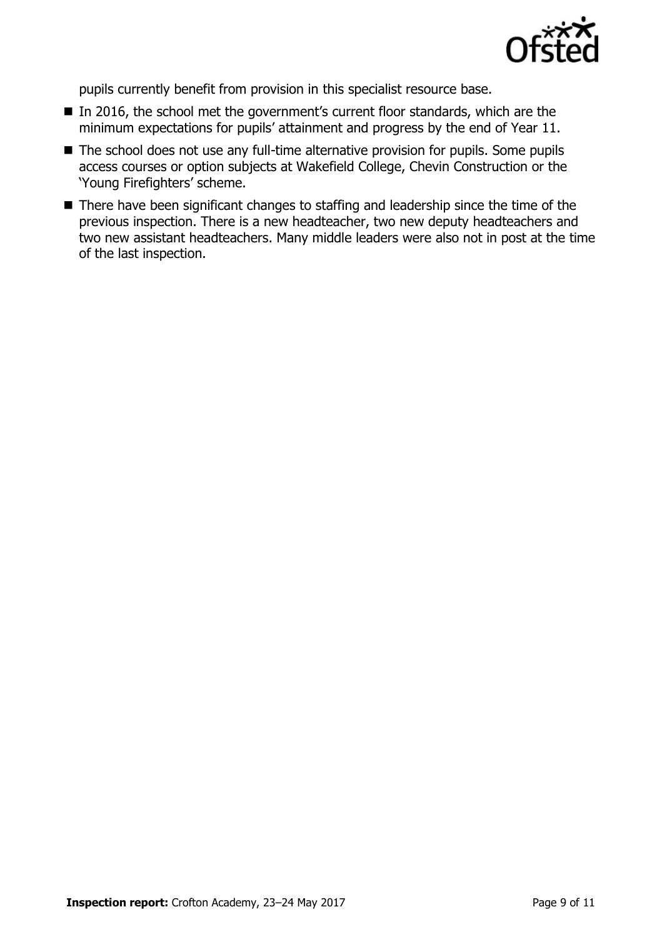

pupils currently benefit from provision in this specialist resource base.

- In 2016, the school met the government's current floor standards, which are the minimum expectations for pupils' attainment and progress by the end of Year 11.
- The school does not use any full-time alternative provision for pupils. Some pupils access courses or option subjects at Wakefield College, Chevin Construction or the 'Young Firefighters' scheme.
- There have been significant changes to staffing and leadership since the time of the previous inspection. There is a new headteacher, two new deputy headteachers and two new assistant headteachers. Many middle leaders were also not in post at the time of the last inspection.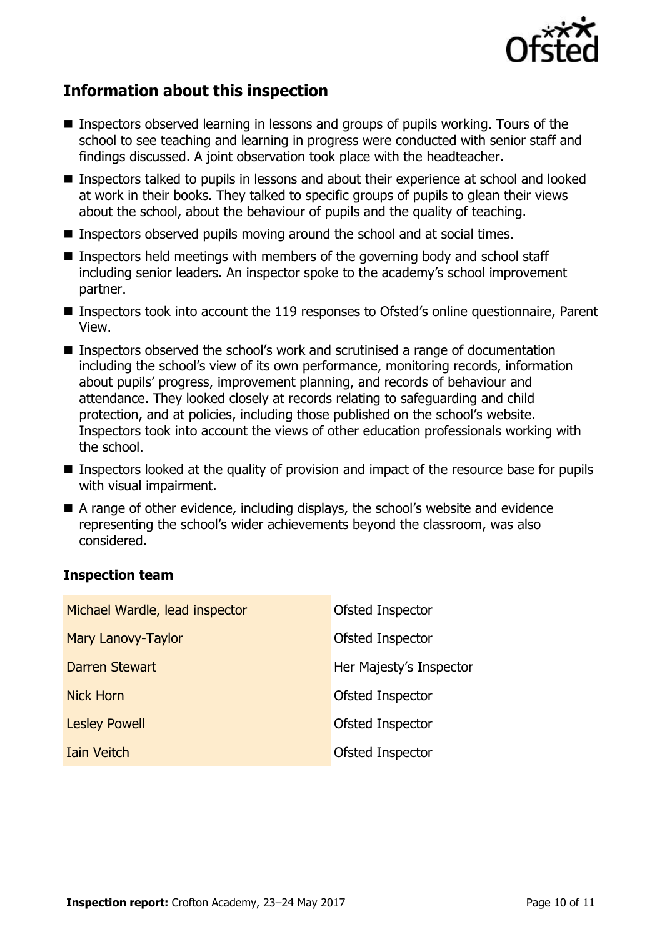

# **Information about this inspection**

- Inspectors observed learning in lessons and groups of pupils working. Tours of the school to see teaching and learning in progress were conducted with senior staff and findings discussed. A joint observation took place with the headteacher.
- Inspectors talked to pupils in lessons and about their experience at school and looked at work in their books. They talked to specific groups of pupils to glean their views about the school, about the behaviour of pupils and the quality of teaching.
- Inspectors observed pupils moving around the school and at social times.
- Inspectors held meetings with members of the governing body and school staff including senior leaders. An inspector spoke to the academy's school improvement partner.
- Inspectors took into account the 119 responses to Ofsted's online questionnaire, Parent View.
- Inspectors observed the school's work and scrutinised a range of documentation including the school's view of its own performance, monitoring records, information about pupils' progress, improvement planning, and records of behaviour and attendance. They looked closely at records relating to safeguarding and child protection, and at policies, including those published on the school's website. Inspectors took into account the views of other education professionals working with the school.
- Inspectors looked at the quality of provision and impact of the resource base for pupils with visual impairment.
- A range of other evidence, including displays, the school's website and evidence representing the school's wider achievements beyond the classroom, was also considered.

### **Inspection team**

| Michael Wardle, lead inspector | Ofsted Inspector        |
|--------------------------------|-------------------------|
| Mary Lanovy-Taylor             | Ofsted Inspector        |
| Darren Stewart                 | Her Majesty's Inspector |
| <b>Nick Horn</b>               | Ofsted Inspector        |
| <b>Lesley Powell</b>           | Ofsted Inspector        |
| <b>Iain Veitch</b>             | Ofsted Inspector        |